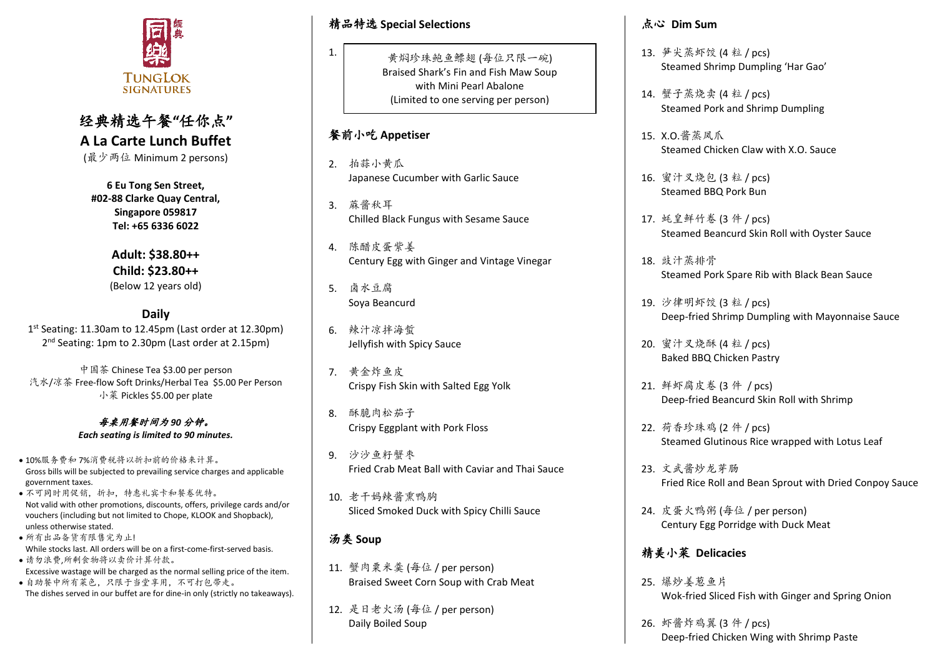

# 经典精选午餐**"**任你点**" A La Carte Lunch Buffet**

(最少两位 Minimum 2 persons)

**6 Eu Tong Sen Street, #02-88 Clarke Quay Central, Singapore 059817 Tel: +65 6336 6022**

> **Adult: \$38.80++ Child: \$23.80++**  (Below 12 years old)

**Daily** 1 st Seating: 11.30am to 12.45pm (Last order at 12.30pm) 2<sup>nd</sup> Seating: 1pm to 2.30pm (Last order at 2.15pm)

中国茶 Chinese Tea \$3.00 per person 汽水/凉茶 Free-flow Soft Drinks/Herbal Tea \$5.00 Per Person 小菜 Pickles \$5.00 per plate

> 每桌用餐时间为 *90* 分钟。 *Each seating is limited to 90 minutes.*

- 10%服务费和 7%消费税将以折扣前的价格来计算。 Gross bills will be subjected to prevailing service charges and applicable government taxes.
- 不可同时用促销,折扣,特惠礼宾卡和餐卷优特。 Not valid with other promotions, discounts, offers, privilege cards and/or vouchers (including but not limited to Chope, KLOOK and Shopback), unless otherwise stated.
- 所有出品备货有限售完为止! While stocks last. All orders will be on a first-come-first-served basis. • 请勿浪费,所剩食物将以卖价计算付款。
- Excessive wastage will be charged as the normal selling price of the item. • 自助餐中所有菜色,只限于当堂享用,不可打包带走。
- The dishes served in our buffet are for dine-in only (strictly no takeaways).

精品特选 **Special Selections**

黄焖珍珠鲍鱼鳔翅 (每位只限一碗) Braised Shark's Fin and Fish Maw Soup with Mini Pearl Abalone (Limited to one serving per person)

## 餐前小吃 **Appetiser**

1.

- 2. 拍蒜小黄瓜 Japanese Cucumber with Garlic Sauce
- 3. 蔴酱秋耳 Chilled Black Fungus with Sesame Sauce
- 4. 陈醋皮蛋紫姜 Century Egg with Ginger and Vintage Vinegar
- 5. 卤水豆腐 Soya Beancurd
- 6. 辣汁凉拌海蜇 Jellyfish with Spicy Sauce
- 7. 黄金炸鱼皮 Crispy Fish Skin with Salted Egg Yolk
- 8. 酥脆肉松茄子 Crispy Eggplant with Pork Floss
- 9. 沙沙鱼籽蟹枣 Fried Crab Meat Ball with Caviar and Thai Sauce
- 10. 老干妈辣酱熏鸭胸 Sliced Smoked Duck with Spicy Chilli Sauce

## 汤类 **Soup**

- 11. 蟹肉粟米羹 (每位 / per person) Braised Sweet Corn Soup with Crab Meat
- 12. 是日老火汤 (每位 / per person) Daily Boiled Soup

#### 点心 **Dim Sum**

- 13. 笋尖蒸虾饺 (4 粒 / pcs) Steamed Shrimp Dumpling 'Har Gao'
- 14. 蟹子蒸烧卖 (4 粒 / pcs) Steamed Pork and Shrimp Dumpling
- 15. X.O.酱蒸凤爪 Steamed Chicken Claw with X.O. Sauce
- 16. 蜜汁叉烧包 (3 粒 / pcs) Steamed BBQ Pork Bun
- 17. 蚝皇鲜竹卷 (3 件 / pcs) Steamed Beancurd Skin Roll with Oyster Sauce
- 18. 豉汁蒸排骨 Steamed Pork Spare Rib with Black Bean Sauce
- 19. 沙律明虾饺 (3 粒 / pcs) Deep-fried Shrimp Dumpling with Mayonnaise Sauce
- 20. 蜜汁叉烧酥 (4 粒 / pcs) Baked BBQ Chicken Pastry
- 21. 鲜虾腐皮卷 (3 件 / pcs) Deep-fried Beancurd Skin Roll with Shrimp
- 22. 荷香珍珠鸡 (2 件 / pcs) Steamed Glutinous Rice wrapped with Lotus Leaf
- 23. 文武酱炒龙芽肠 Fried Rice Roll and Bean Sprout with Dried Conpoy Sauce
- 24. 皮蛋火鸭粥 (每位 / per person) Century Egg Porridge with Duck Meat

## 精美小菜 **Delicacies**

- 25. 爆炒姜葱鱼片 Wok-fried Sliced Fish with Ginger and Spring Onion
- 26. 虾酱炸鸡翼 (3 件 / pcs) Deep-fried Chicken Wing with Shrimp Paste